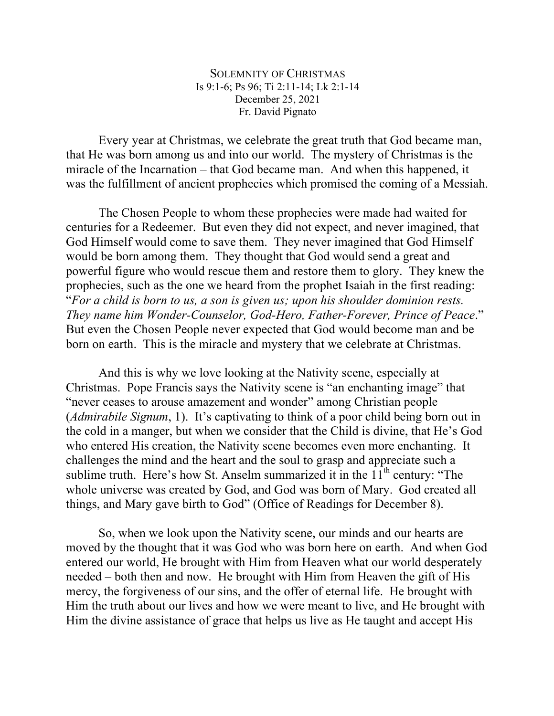SOLEMNITY OF CHRISTMAS Is 9:1-6; Ps 96; Ti 2:11-14; Lk 2:1-14 December 25, 2021 Fr. David Pignato

Every year at Christmas, we celebrate the great truth that God became man, that He was born among us and into our world. The mystery of Christmas is the miracle of the Incarnation – that God became man. And when this happened, it was the fulfillment of ancient prophecies which promised the coming of a Messiah.

The Chosen People to whom these prophecies were made had waited for centuries for a Redeemer. But even they did not expect, and never imagined, that God Himself would come to save them. They never imagined that God Himself would be born among them. They thought that God would send a great and powerful figure who would rescue them and restore them to glory. They knew the prophecies, such as the one we heard from the prophet Isaiah in the first reading: "*For a child is born to us, a son is given us; upon his shoulder dominion rests. They name him Wonder-Counselor, God-Hero, Father-Forever, Prince of Peace*." But even the Chosen People never expected that God would become man and be born on earth. This is the miracle and mystery that we celebrate at Christmas.

And this is why we love looking at the Nativity scene, especially at Christmas. Pope Francis says the Nativity scene is "an enchanting image" that "never ceases to arouse amazement and wonder" among Christian people (*Admirabile Signum*, 1). It's captivating to think of a poor child being born out in the cold in a manger, but when we consider that the Child is divine, that He's God who entered His creation, the Nativity scene becomes even more enchanting. It challenges the mind and the heart and the soul to grasp and appreciate such a sublime truth. Here's how St. Anselm summarized it in the  $11<sup>th</sup>$  century: "The whole universe was created by God, and God was born of Mary. God created all things, and Mary gave birth to God" (Office of Readings for December 8).

So, when we look upon the Nativity scene, our minds and our hearts are moved by the thought that it was God who was born here on earth. And when God entered our world, He brought with Him from Heaven what our world desperately needed – both then and now. He brought with Him from Heaven the gift of His mercy, the forgiveness of our sins, and the offer of eternal life. He brought with Him the truth about our lives and how we were meant to live, and He brought with Him the divine assistance of grace that helps us live as He taught and accept His